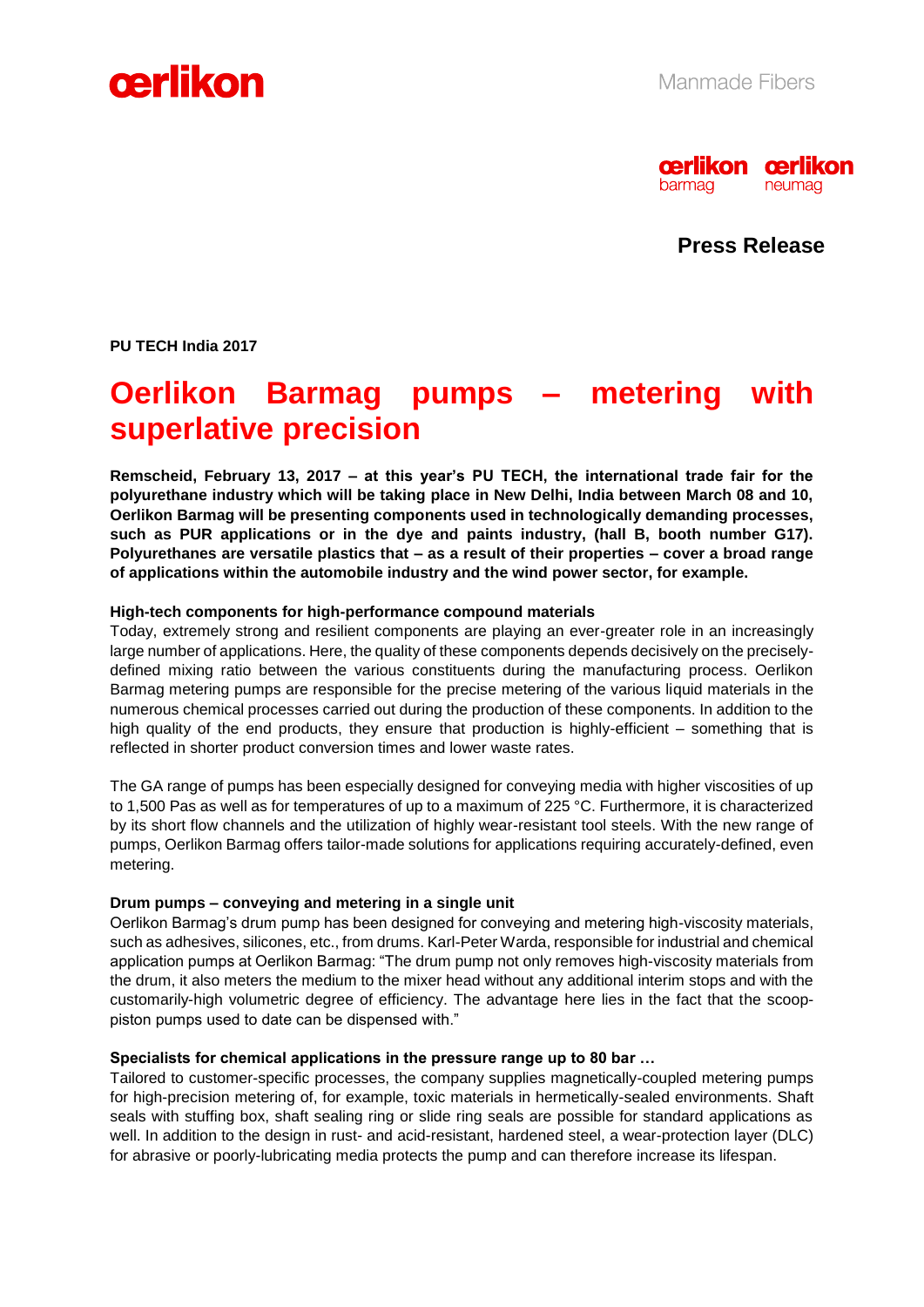



**Press Release**

**PU TECH India 2017** 

# **Oerlikon Barmag pumps – metering with superlative precision**

**Remscheid, February 13, 2017 – at this year's PU TECH, the international trade fair for the polyurethane industry which will be taking place in New Delhi, India between March 08 and 10, Oerlikon Barmag will be presenting components used in technologically demanding processes, such as PUR applications or in the dye and paints industry, (hall B, booth number G17). Polyurethanes are versatile plastics that – as a result of their properties – cover a broad range of applications within the automobile industry and the wind power sector, for example.** 

## **High-tech components for high-performance compound materials**

Today, extremely strong and resilient components are playing an ever-greater role in an increasingly large number of applications. Here, the quality of these components depends decisively on the preciselydefined mixing ratio between the various constituents during the manufacturing process. Oerlikon Barmag metering pumps are responsible for the precise metering of the various liquid materials in the numerous chemical processes carried out during the production of these components. In addition to the high quality of the end products, they ensure that production is highly-efficient – something that is reflected in shorter product conversion times and lower waste rates.

The GA range of pumps has been especially designed for conveying media with higher viscosities of up to 1,500 Pas as well as for temperatures of up to a maximum of 225 °C. Furthermore, it is characterized by its short flow channels and the utilization of highly wear-resistant tool steels. With the new range of pumps, Oerlikon Barmag offers tailor-made solutions for applications requiring accurately-defined, even metering.

#### **Drum pumps – conveying and metering in a single unit**

Oerlikon Barmag's drum pump has been designed for conveying and metering high-viscosity materials, such as adhesives, silicones, etc., from drums. Karl-Peter Warda, responsible for industrial and chemical application pumps at Oerlikon Barmag: "The drum pump not only removes high-viscosity materials from the drum, it also meters the medium to the mixer head without any additional interim stops and with the customarily-high volumetric degree of efficiency. The advantage here lies in the fact that the scooppiston pumps used to date can be dispensed with."

#### **Specialists for chemical applications in the pressure range up to 80 bar …**

Tailored to customer-specific processes, the company supplies magnetically-coupled metering pumps for high-precision metering of, for example, toxic materials in hermetically-sealed environments. Shaft seals with stuffing box, shaft sealing ring or slide ring seals are possible for standard applications as well. In addition to the design in rust- and acid-resistant, hardened steel, a wear-protection layer (DLC) for abrasive or poorly-lubricating media protects the pump and can therefore increase its lifespan.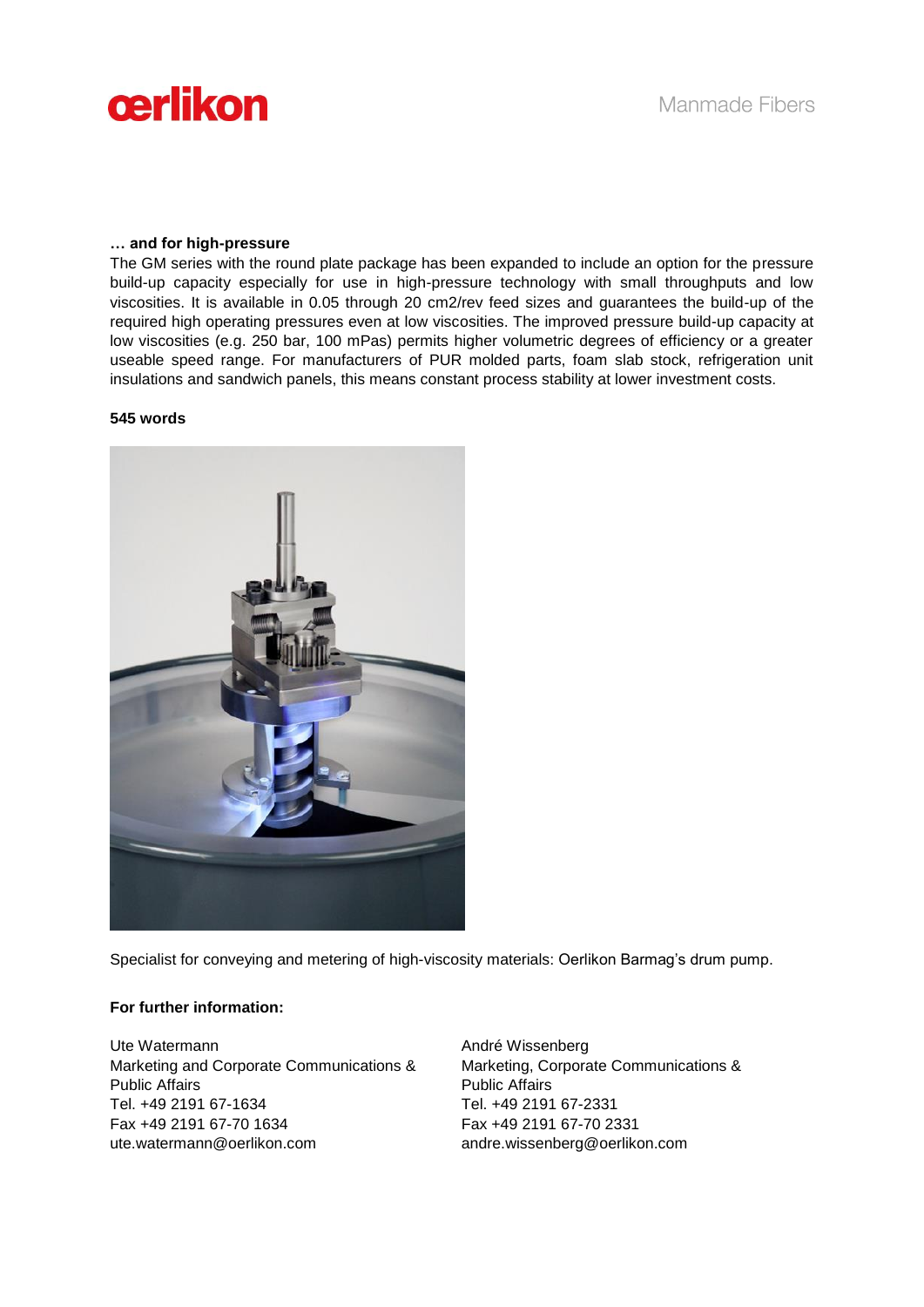

### **… and for high-pressure**

The GM series with the round plate package has been expanded to include an option for the pressure build-up capacity especially for use in high-pressure technology with small throughputs and low viscosities. It is available in 0.05 through 20 cm2/rev feed sizes and guarantees the build-up of the required high operating pressures even at low viscosities. The improved pressure build-up capacity at low viscosities (e.g. 250 bar, 100 mPas) permits higher volumetric degrees of efficiency or a greater useable speed range. For manufacturers of PUR molded parts, foam slab stock, refrigeration unit insulations and sandwich panels, this means constant process stability at lower investment costs.

### **545 words**



Specialist for conveying and metering of high-viscosity materials: Oerlikon Barmag's drum pump.

# **For further information:**

Ute Watermann Marketing and Corporate Communications & Public Affairs Tel. +49 2191 67-1634 Fax +49 2191 67-70 1634 ute.watermann@oerlikon.com

André Wissenberg Marketing, Corporate Communications & Public Affairs Tel. +49 2191 67-2331 Fax +49 2191 67-70 2331 andre.wissenberg@oerlikon.com